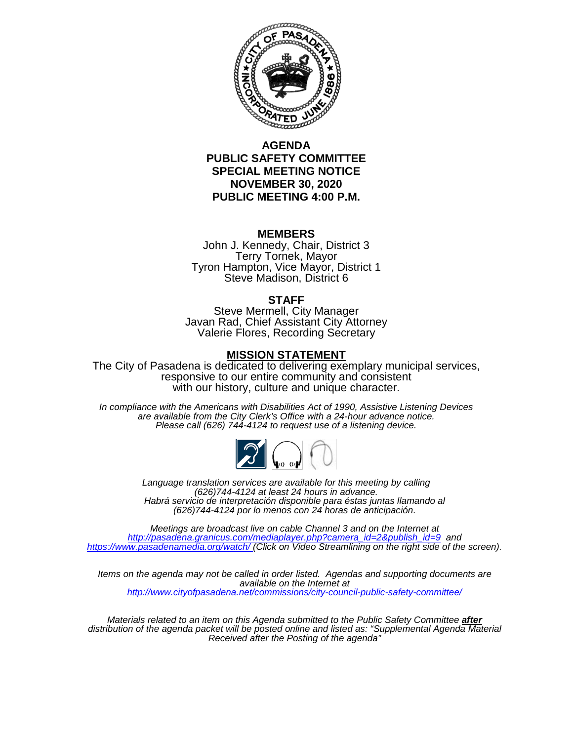

### **AGENDA PUBLIC SAFETY COMMITTEE SPECIAL MEETING NOTICE NOVEMBER 30, 2020 PUBLIC MEETING 4:00 P.M.**

#### **MEMBERS**

John J. Kennedy, Chair, District 3 Terry Tornek, Mayor Tyron Hampton, Vice Mayor, District 1 Steve Madison, District 6

#### **STAFF**

Steve Mermell, City Manager Javan Rad, Chief Assistant City Attorney Valerie Flores, Recording Secretary

#### **MISSION STATEMENT**

The City of Pasadena is dedicated to delivering exemplary municipal services, responsive to our entire community and consistent with our history, culture and unique character.

*In compliance with the Americans with Disabilities Act of 1990, Assistive Listening Devices are available from the City Clerk's Office with a 24-hour advance notice. Please call (626) 744-4124 to request use of a listening device.*



*Language translation services are available for this meeting by calling (626)744-4124 at least 24 hours in advance. Habrá servicio de interpretación disponible para éstas juntas llamando al (626)744-4124 por lo menos con 24 horas de anticipación*.

*Meetings are broadcast live on cable Channel 3 and on the Internet at [http://pasadena.granicus.com/mediaplayer.php?camera\\_id=2&publish\\_id=9](http://pasadena.granicus.com/mediaplayer.php?camera_id=2&publish_id=9) and <https://www.pasadenamedia.org/watch/> (Click on Video Streamlining on the right side of the screen).*

*Items on the agenda may not be called in order listed. Agendas and supporting documents are available on the Internet at <http://www.cityofpasadena.net/commissions/city-council-public-safety-committee/>*

*Materials related to an item on this Agenda submitted to the Public Safety Committee after distribution of the agenda packet will be posted online and listed as: "Supplemental Agenda Material Received after the Posting of the agenda"*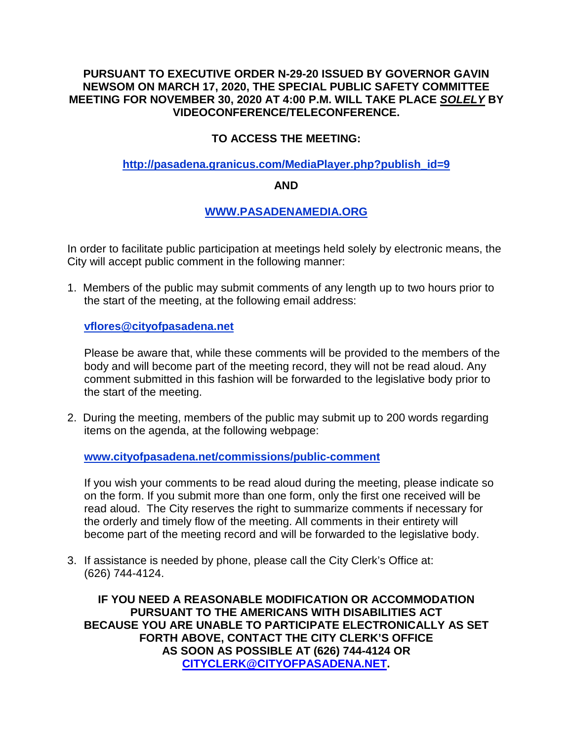### **PURSUANT TO EXECUTIVE ORDER N-29-20 ISSUED BY GOVERNOR GAVIN NEWSOM ON MARCH 17, 2020, THE SPECIAL PUBLIC SAFETY COMMITTEE MEETING FOR NOVEMBER 30, 2020 AT 4:00 P.M. WILL TAKE PLACE** *SOLELY* **BY VIDEOCONFERENCE/TELECONFERENCE.**

# **TO ACCESS THE MEETING:**

### **[http://pasadena.granicus.com/MediaPlayer.php?publish\\_id=9](http://pasadena.granicus.com/MediaPlayer.php?publish_id=9)**

### **AND**

# **[WWW.PASADENAMEDIA.ORG](http://www.pasadenamedia.org/)**

In order to facilitate public participation at meetings held solely by electronic means, the City will accept public comment in the following manner:

1. Members of the public may submit comments of any length up to two hours prior to the start of the meeting, at the following email address:

**vflores@cityofpasadena.net**

Please be aware that, while these comments will be provided to the members of the body and will become part of the meeting record, they will not be read aloud. Any comment submitted in this fashion will be forwarded to the legislative body prior to the start of the meeting.

2. During the meeting, members of the public may submit up to 200 words regarding items on the agenda, at the following webpage:

**[www.cityofpasadena.net/commissions/public-comment](http://www.cityofpasadena.net/commissions/public-comment)**

If you wish your comments to be read aloud during the meeting, please indicate so on the form. If you submit more than one form, only the first one received will be read aloud. The City reserves the right to summarize comments if necessary for the orderly and timely flow of the meeting. All comments in their entirety will become part of the meeting record and will be forwarded to the legislative body.

3. If assistance is needed by phone, please call the City Clerk's Office at: (626) 744-4124.

**IF YOU NEED A REASONABLE MODIFICATION OR ACCOMMODATION PURSUANT TO THE AMERICANS WITH DISABILITIES ACT BECAUSE YOU ARE UNABLE TO PARTICIPATE ELECTRONICALLY AS SET FORTH ABOVE, CONTACT THE CITY CLERK'S OFFICE AS SOON AS POSSIBLE AT (626) 744-4124 OR [CITYCLERK@CITYOFPASADENA.NET.](mailto:CITYCLERK@CITYOFPASADENA.NET)**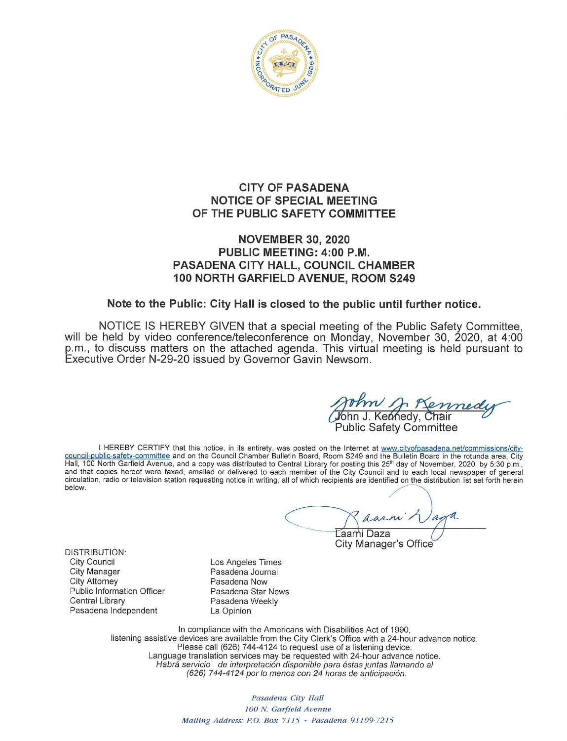

### **CITY OF PASADENA NOTICE OF SPECIAL MEETING** OF THE PUBLIC SAFETY COMMITTEE

### **NOVEMBER 30, 2020** PUBLIC MEETING: 4:00 P.M. **PASADENA CITY HALL, COUNCIL CHAMBER** 100 NORTH GARFIELD AVENUE, ROOM S249

#### Note to the Public: City Hall is closed to the public until further notice.

NOTICE IS HEREBY GIVEN that a special meeting of the Public Safety Committee, will be held by video conference/teleconference on Monday, November 30, 2020, at 4:00 p.m., to discuss matters on the attached agenda. This virtual meeting is held pursuant to Executive Order N-29-20 issued by Governor Gavin Newsom.

J. Kennedy, Chair

**Public Safety Committee** 

I HEREBY CERTIFY that this notice, in its entirety, was posted on the Internet at www.cityofpasadena.net/commissions/city-<br>council-public-safety-committee and on the Council Chamber Bulletin Board, Room S249 and the Bullet and that copies hereof were faxed, emailed or delivered to each member of the City Council and to each local newspaper of general circulation, radio or television station requesting notice in writing, all of which recipients are identified on the distribution list set forth herein below.

∟aarni Daza

City Manager's Office

**DISTRIBUTION: City Council City Manager City Attorney Public Information Officer** Central Library Pasadena Independent

Los Angeles Times Pasadena Journal Pasadena Now Pasadena Star News Pasadena Weekly La Opinion

In compliance with the Americans with Disabilities Act of 1990, listening assistive devices are available from the City Clerk's Office with a 24-hour advance notice.<br>Please call (626) 744-4124 to request use of a listening device. Language translation services may be requested with 24-hour advance notice. Habrá servicio de interpretación disponible para éstas juntas llamando al (626) 744-4124 por lo menos con 24 horas de anticipación.

> Pasadena City Hall 100 N. Garfield Avenue Mailing Address: P.O. Box 7115 · Pasadena 91109-7215